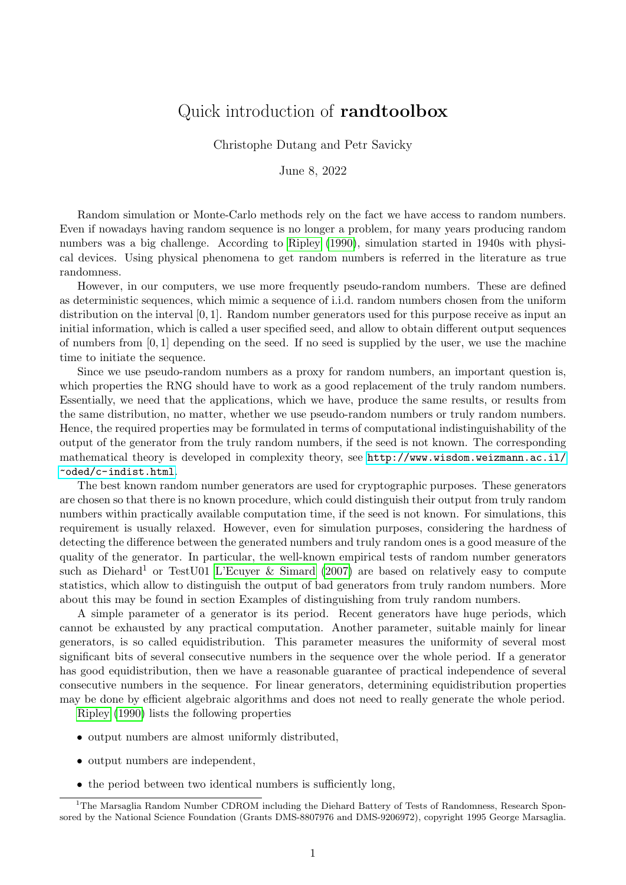## <span id="page-0-0"></span>Quick introduction of randtoolbox

Christophe Dutang and Petr Savicky

June 8, 2022

Random simulation or Monte-Carlo methods rely on the fact we have access to random numbers. Even if nowadays having random sequence is no longer a problem, for many years producing random numbers was a big challenge. According to [Ripley](#page-3-0) [\(1990\)](#page-3-0), simulation started in 1940s with physical devices. Using physical phenomena to get random numbers is referred in the literature as true randomness.

However, in our computers, we use more frequently pseudo-random numbers. These are defined as deterministic sequences, which mimic a sequence of i.i.d. random numbers chosen from the uniform distribution on the interval [0, 1]. Random number generators used for this purpose receive as input an initial information, which is called a user specified seed, and allow to obtain different output sequences of numbers from [0, 1] depending on the seed. If no seed is supplied by the user, we use the machine time to initiate the sequence.

Since we use pseudo-random numbers as a proxy for random numbers, an important question is, which properties the RNG should have to work as a good replacement of the truly random numbers. Essentially, we need that the applications, which we have, produce the same results, or results from the same distribution, no matter, whether we use pseudo-random numbers or truly random numbers. Hence, the required properties may be formulated in terms of computational indistinguishability of the output of the generator from the truly random numbers, if the seed is not known. The corresponding mathematical theory is developed in complexity theory, see [http://www.wisdom.weizmann.ac.il/](http://www.wisdom.weizmann.ac.il/~oded/c-indist.html) [~oded/c-indist.html](http://www.wisdom.weizmann.ac.il/~oded/c-indist.html).

The best known random number generators are used for cryptographic purposes. These generators are chosen so that there is no known procedure, which could distinguish their output from truly random numbers within practically available computation time, if the seed is not known. For simulations, this requirement is usually relaxed. However, even for simulation purposes, considering the hardness of detecting the difference between the generated numbers and truly random ones is a good measure of the quality of the generator. In particular, the well-known empirical tests of random number generators such as Diehard<sup>1</sup> or TestU01 [L'Ecuyer & Simard](#page-3-1) [\(2007\)](#page-3-1) are based on relatively easy to compute statistics, which allow to distinguish the output of bad generators from truly random numbers. More about this may be found in section Examples of distinguishing from truly random numbers.

A simple parameter of a generator is its period. Recent generators have huge periods, which cannot be exhausted by any practical computation. Another parameter, suitable mainly for linear generators, is so called equidistribution. This parameter measures the uniformity of several most significant bits of several consecutive numbers in the sequence over the whole period. If a generator has good equidistribution, then we have a reasonable guarantee of practical independence of several consecutive numbers in the sequence. For linear generators, determining equidistribution properties may be done by efficient algebraic algorithms and does not need to really generate the whole period.

[Ripley](#page-3-0) [\(1990\)](#page-3-0) lists the following properties

- output numbers are almost uniformly distributed,
- output numbers are independent,
- the period between two identical numbers is sufficiently long,

<sup>&</sup>lt;sup>1</sup>The Marsaglia Random Number CDROM including the Diehard Battery of Tests of Randomness, Research Sponsored by the National Science Foundation (Grants DMS-8807976 and DMS-9206972), copyright 1995 George Marsaglia.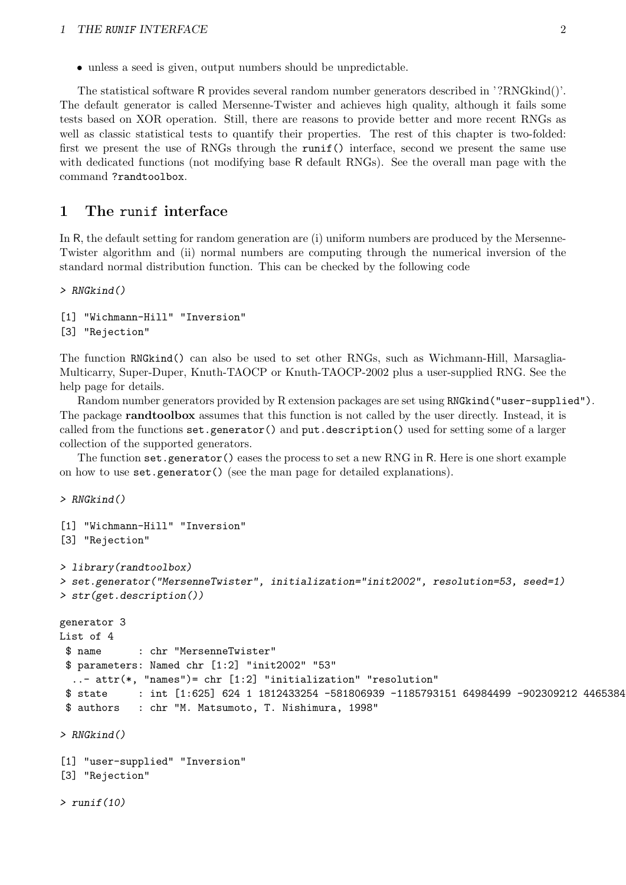• unless a seed is given, output numbers should be unpredictable.

The statistical software R provides several random number generators described in '?RNGkind()'. The default generator is called Mersenne-Twister and achieves high quality, although it fails some tests based on XOR operation. Still, there are reasons to provide better and more recent RNGs as well as classic statistical tests to quantify their properties. The rest of this chapter is two-folded: first we present the use of RNGs through the runif() interface, second we present the same use with dedicated functions (not modifying base R default RNGs). See the overall man page with the command ?randtoolbox.

## 1 The runif interface

In R, the default setting for random generation are (i) uniform numbers are produced by the Mersenne-Twister algorithm and (ii) normal numbers are computing through the numerical inversion of the standard normal distribution function. This can be checked by the following code

> RNGkind()

[1] "Wichmann-Hill" "Inversion" [3] "Rejection"

The function RNGkind() can also be used to set other RNGs, such as Wichmann-Hill, Marsaglia-Multicarry, Super-Duper, Knuth-TAOCP or Knuth-TAOCP-2002 plus a user-supplied RNG. See the help page for details.

Random number generators provided by R extension packages are set using RNGkind("user-supplied"). The package randtoolbox assumes that this function is not called by the user directly. Instead, it is called from the functions set.generator() and put.description() used for setting some of a larger collection of the supported generators.

The function set.generator() eases the process to set a new RNG in R. Here is one short example on how to use set.generator() (see the man page for detailed explanations).

> RNGkind()

 $>$  runif(10)

```
[1] "Wichmann-Hill" "Inversion"
[3] "Rejection"
> library(randtoolbox)
> set.generator("MersenneTwister", initialization="init2002", resolution=53, seed=1)
> str(get.description())
generator 3
List of 4
 $ name : chr "MersenneTwister"
 $ parameters: Named chr [1:2] "init2002" "53"
  ..- attr(*, "names")= chr [1:2] "initialization" "resolution"
 $ state : int [1:625] 624 1 1812433254 -581806939 -1185793151 64984499 -902309212 4465384
 $ authors : chr "M. Matsumoto, T. Nishimura, 1998"
> RNGkind()
[1] "user-supplied" "Inversion"
[3] "Rejection"
```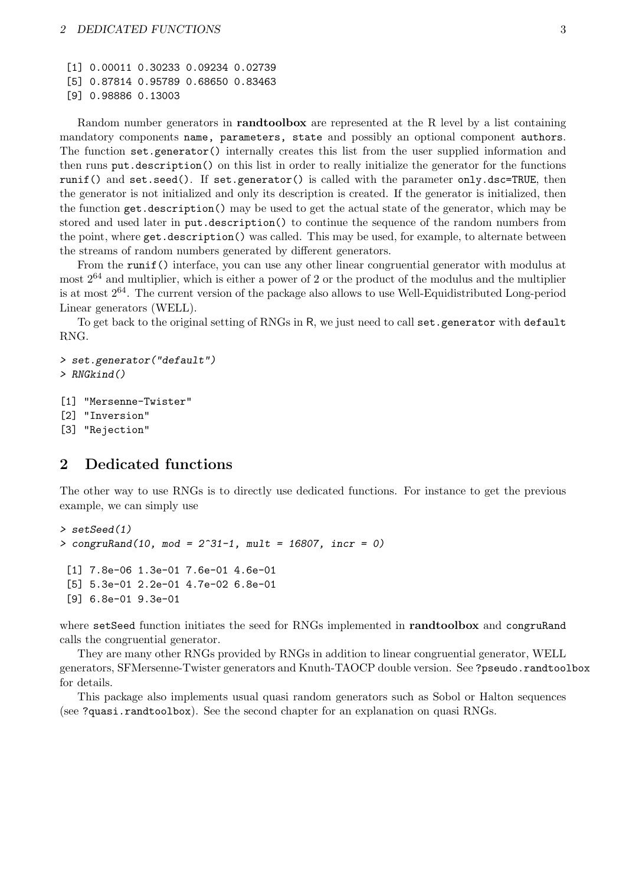[1] 0.00011 0.30233 0.09234 0.02739

[5] 0.87814 0.95789 0.68650 0.83463

```
[9] 0.98886 0.13003
```
Random number generators in randtoolbox are represented at the R level by a list containing mandatory components name, parameters, state and possibly an optional component authors. The function set.generator() internally creates this list from the user supplied information and then runs put.description() on this list in order to really initialize the generator for the functions runif() and set.seed(). If set.generator() is called with the parameter only.dsc=TRUE, then the generator is not initialized and only its description is created. If the generator is initialized, then the function get.description() may be used to get the actual state of the generator, which may be stored and used later in put.description() to continue the sequence of the random numbers from the point, where get.description() was called. This may be used, for example, to alternate between the streams of random numbers generated by different generators.

From the runif() interface, you can use any other linear congruential generator with modulus at most  $2^{64}$  and multiplier, which is either a power of 2 or the product of the modulus and the multiplier is at most 264. The current version of the package also allows to use Well-Equidistributed Long-period Linear generators (WELL).

To get back to the original setting of RNGs in R, we just need to call set.generator with default RNG.

```
> set.generator("default")
> RNGkind()
```

```
[1] "Mersenne-Twister"
```
[2] "Inversion"

```
[3] "Rejection"
```
## 2 Dedicated functions

The other way to use RNGs is to directly use dedicated functions. For instance to get the previous example, we can simply use

```
> setSeed(1)
> congruRand(10, mod = 2^31-1, mult = 16807, incr = 0)
 [1] 7.8e-06 1.3e-01 7.6e-01 4.6e-01
 [5] 5.3e-01 2.2e-01 4.7e-02 6.8e-01
 [9] 6.8e-01 9.3e-01
```
where setSeed function initiates the seed for RNGs implemented in randtoolbox and congruRand calls the congruential generator.

They are many other RNGs provided by RNGs in addition to linear congruential generator, WELL generators, SFMersenne-Twister generators and Knuth-TAOCP double version. See ?pseudo.randtoolbox for details.

This package also implements usual quasi random generators such as Sobol or Halton sequences (see ?quasi.randtoolbox). See the second chapter for an explanation on quasi RNGs.